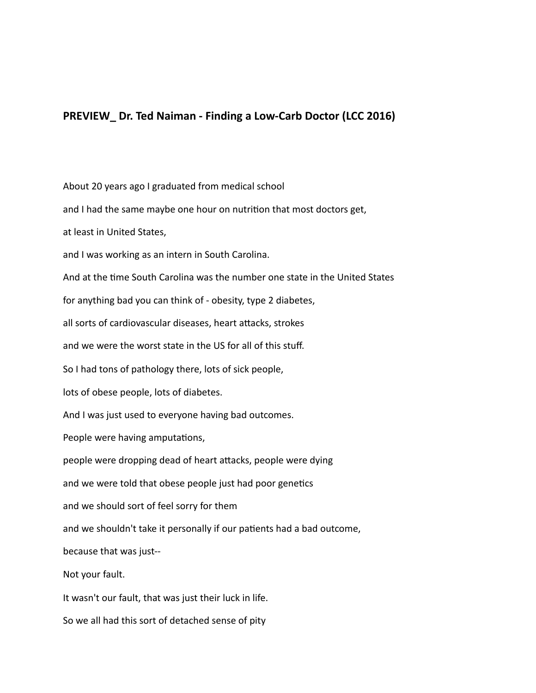## **PREVIEW\_Dr. Ted Naiman - Finding a Low-Carb Doctor (LCC 2016)**

About 20 years ago I graduated from medical school

and I had the same maybe one hour on nutrition that most doctors get,

at least in United States,

and I was working as an intern in South Carolina.

And at the time South Carolina was the number one state in the United States

for anything bad you can think of - obesity, type 2 diabetes,

all sorts of cardiovascular diseases, heart attacks, strokes

and we were the worst state in the US for all of this stuff.

So I had tons of pathology there, lots of sick people,

lots of obese people, lots of diabetes.

And I was just used to everyone having bad outcomes.

People were having amputations,

people were dropping dead of heart attacks, people were dying

and we were told that obese people just had poor genetics

and we should sort of feel sorry for them

and we shouldn't take it personally if our patients had a bad outcome,

because that was just--

Not your fault.

It wasn't our fault, that was just their luck in life.

So we all had this sort of detached sense of pity